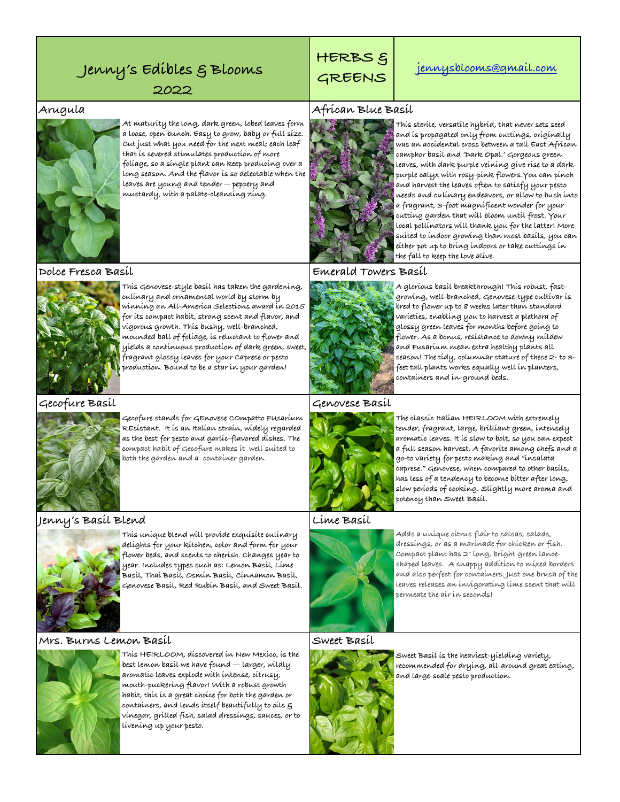## **GREENS Jenny's Edibles & Blooms [jennysblooms@gmail.com](mailto:jennysblooms@gmail.com)**

**2022**



**At maturity the long, dark green, lobed leaves form a loose, open bunch. Easy to grow, baby or full size. Cut just what you need for the next meal; each leaf that is severed stimulates production of more foliage, so a single plant can keep producing over a long season. And the flavor is so delectable when the leaves are young and tender -- peppery and mustardy, with a palate-cleansing zing.**



**This Genovese-style basil has taken the gardening, culinary and ornamental world by storm by winning an All-America Selections award in 2015 for its compact habit, strong scent and flavor, and vigorous growth. This bushy, well-branched, mounded ball of foliage, is reluctant to flower and yields a continuous production of dark green, sweet, fragrant glossy leaves for your Caprese or pesto production. Bound to be a star in your garden!**



**Gecofure stands for GEnovese COmpatto FUsarium REsistant. It is an Italian strain, widely regarded as the best for pesto and garlic-flavored dishes. The compact habit of Gecofure makes it well suited to both the garden and a container garden.**

### **Jenny's Basil Blend Lime Basil**



**This unique blend will provide exquisite culinary delights for your kitchen, color and form for your flower beds, and scents to cherish. Changes year to year. Includes types such as: Lemon Basil, Lime Basil, Thai Basil, Osmin Basil, Cinnamon Basil, Genovese Basil, Red Rubin Basil, and Sweet Basil.**

### **Mrs. Burns Lemon Basil Sweet Basil**



**This HEIRLOOM, discovered in New Mexico, is the best lemon basil we have found — larger, wildly aromatic leaves explode with intense, citrusy, mouth-puckering flavor! With a robust growth habit, this is a great choice for both the garden or containers, and lends itself beautifully to oils & vinegar, grilled fish, salad dressings, sauces, or to livening up your pesto.**

# **HERBS &**

### **Arugula African Blue Basil**



**This sterile, versatile hybrid, that never sets seed and is propagated only from cuttings, originally was an accidental cross between a tall East African camphor basil and 'Dark Opal.' Gorgeous green leaves, with dark purple veining give rise to a darkpurple calyx with rosy-pink flowers.You can pinch and harvest the leaves often to satisfy your pesto needs and culinary endeavors, or allow to bush into a fragrant, 3-foot magnificent wonder for your cutting garden that will bloom until frost. Your local pollinators will thank you for the latter! More suited to indoor growing than most basils, you can either pot up to bring indoors or take cuttings in the fall to keep the love alive.**

### **Dolce Fresca Basil Emerald Towers Basil**



**A glorious basil breakthrough! This robust, fastgrowing, well-branched, Genovese-type cultivar is bred to flower up to 8 weeks later than standard varieties, enabling you to harvest a plethora of glossy green leaves for months before going to flower. As a bonus, resistance to downy mildew and Fusarium mean extra healthy plants all season! The tidy, columnar stature of these 2- to 3 feet tall plants works equally well in planters, containers and in-ground beds.**

### **Gecofure Basil Genovese Basil**



**The classic Italian HEIRLOOM with extremely tender, fragrant, large, brilliant green, intensely aromatic leaves. It is slow to bolt, so you can expect a full season harvest. A favorite among chefs and a go-to variety for pesto making and "insalata caprese." Genovese, when compared to other basils, has less of a tendency to become bitter after long, slow periods of cooking. Slightly more aroma and potency than Sweet Basil.**



**Adds a unique citrus flair to salsas, salads, dressings, or as a marinade for chicken or fish. Compact plant has 2" long, bright green lanceshaped leaves. A snappy addition to mixed borders and also perfect for containers. Just one brush of the leaves releases an invigorating lime scent that will permeate the air in seconds!**



**Sweet Basil is the heaviest-yielding variety, recommended for drying, all-around great eating, and large-scale pesto production.**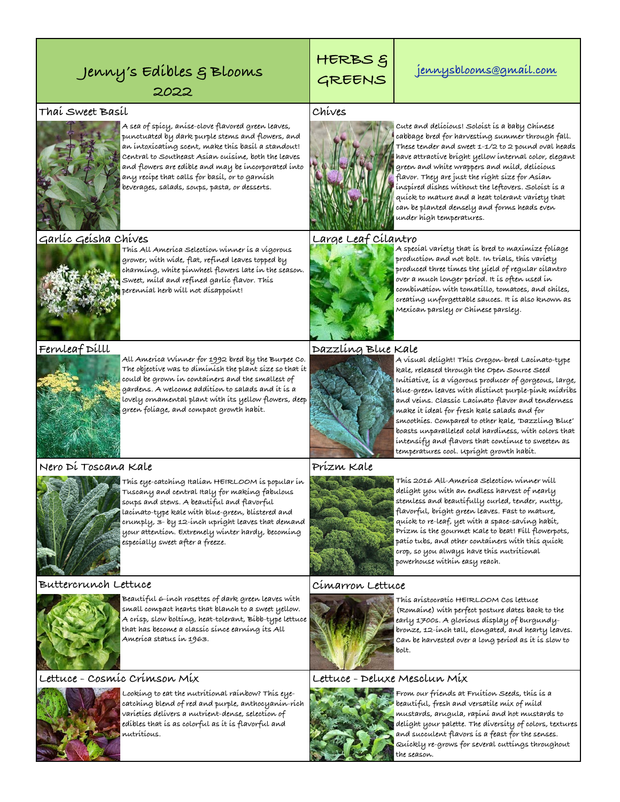## Jenny's Edibles & Blooms  $\begin{array}{|c|c|c|c|c|}\n\hline \text{GREENS} & \text{jennysblooms@gmail.com}\n\hline \end{array}$

**2022**

### **Thai Sweet Basil Chives**



**A sea of spicy, anise-clove flavored green leaves, punctuated by dark purple stems and flowers, and an intoxicating scent, make this basil a standout! Central to Southeast Asian cuisine, both the leaves and flowers are edible and may be incorporated into any recipe that calls for basil, or to garnish beverages, salads, soups, pasta, or desserts.**

### **Garlic Geisha Chives Large Leaf Cilantro**



**This All America Selection winner is a vigorous grower, with wide, flat, refined leaves topped by charming, white pinwheel flowers late in the season. Sweet, mild and refined garlic flavor. This perennial herb will not disappoint!**



**Fernleaf Dilll Dazzling Blue Kale All America Winner for 1992 bred by the Burpee Co. The objective was to diminish the plant size so that it could be grown in containers and the smallest of gardens. A welcome addition to salads and it is a lovely ornamental plant with its yellow flowers, deep green foliage, and compact growth habit.** 

### **Nero Di Toscana Kale Prizm Kale**



**This eye-catching Italian HEIRLOOM is popular in Tuscany and central Italy for making fabulous soups and stews. A beautiful and flavorful lacinato-type kale with blue-green, blistered and crumply, 3- by 12-inch upright leaves that demand your attention. Extremely winter hardy, becoming especially sweet after a freeze.**

### **Buttercrunch Lettuce Cimarron Lettuce**



**Beautiful 6-inch rosettes of dark green leaves with small compact hearts that blanch to a sweet yellow. A crisp, slow bolting, heat-tolerant, Bibb-type lettuce that has become a classic since earning its All America status in 1963.**

### **Lettuce - Cosmic Crimson Mix Lettuce - Deluxe Mesclun Mix**



**Looking to eat the nutritional rainbow? This eyecatching blend of red and purple, anthocyanin-rich varieties delivers a nutrient-dense, selection of edibles that is as colorful as it is flavorful and nutritious.**

# **HERBS &**



**Cute and delicious! Soloist is a baby Chinese cabbage bred for harvesting summer through fall. These tender and sweet 1-1/2 to 2 pound oval heads have attractive bright yellow internal color, elegant green and white wrappers and mild, delicious flavor. They are just the right size for Asian inspired dishes without the leftovers. Soloist is a quick to mature and a heat tolerant variety that can be planted densely and forms heads even under high temperatures.** 



**A special variety that is bred to maximize foliage production and not bolt. In trials, this variety produced three times the yield of regular cilantro over a much longer period. It is often used in combination with tomatillo, tomatoes, and chiles, creating unforgettable sauces. It is also known as Mexican parsley or Chinese parsley.** 



**A visual delight! This Oregon-bred Lacinato-type kale, released through the Open Source Seed Initiative, is a vigorous producer of gorgeous, large, blue-green leaves with distinct purple-pink midribs and veins. Classic Lacinato flavor and tenderness make it ideal for fresh kale salads and for smoothies. Compared to other kale, 'Dazzling Blue' boasts unparalleled cold hardiness, with colors that intensify and flavors that continue to sweeten as temperatures cool. Upright growth habit.**



**This 2016 All-America Selection winner will delight you with an endless harvest of nearly stemless and beautifully curled, tender, nutty, flavorful, bright green leaves. Fast to mature, quick to re-leaf, yet with a space-saving habit, Prizm is the gourmet Kale to beat! Fill flowerpots, patio tubs, and other containers with this quick crop, so you always have this nutritional powerhouse within easy reach.**



**This aristocratic HEIRLOOM Cos lettuce (Romaine) with perfect posture dates back to the early 1700s. A glorious display of burgundybronze, 12-inch tall, elongated, and hearty leaves. Can be harvested over a long period as it is slow to bolt.**



**From our friends at Fruition Seeds, this is a beautiful, fresh and versatile mix of mild mustards, arugula, rapini and hot mustards to delight your palette. The diversity of colors, textures and succulent flavors is a feast for the senses. Quickly re-grows for several cuttings throughout the season.**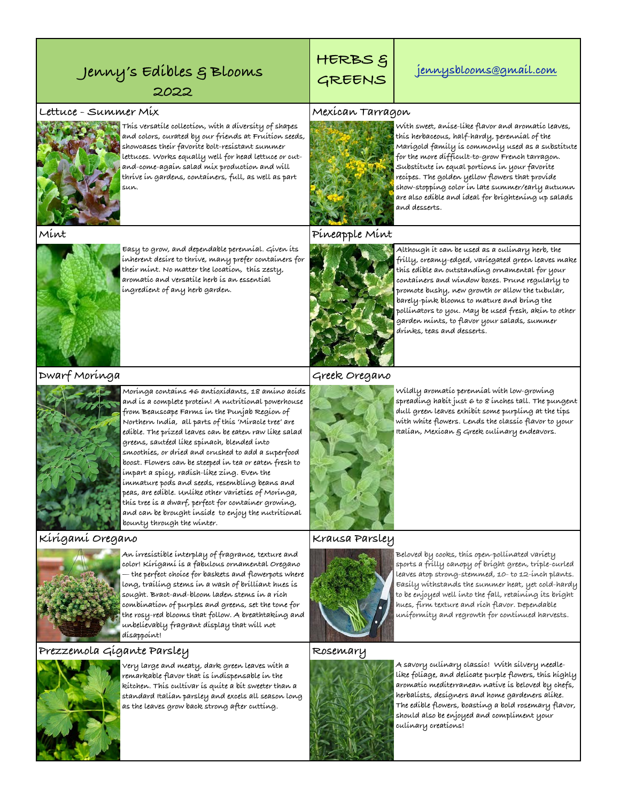## Jenny's Edibles & Blooms  $\begin{array}{|c|c|c|c|c|}\n\hline \text{GREENS} & \text{jennysblooms@gmail.com}\n\hline \end{array}$

## **HERBS &**

**2022**

### **Lettuce - Summer Mix Mexican Tarragon**



**This versatile collection, with a diversity of shapes and colors, curated by our friends at Fruition seeds, showcases their favorite bolt-resistant summer lettuces. Works equally well for head lettuce or cutand-come-again salad mix production and will thrive in gardens, containers, full, as well as part sun.** 



**Easy to grow, and dependable perennial. Given its inherent desire to thrive, many prefer containers for their mint. No matter the location, this zesty, aromatic and versatile herb is an essential ingredient of any herb garden.**



**With sweet, anise-like flavor and aromatic leaves, this herbaceous, half-hardy, perennial of the Marigold family is commonly used as a substitute for the more difficult-to-grow French tarragon. Substitute in equal portions in your favorite recipes. The golden yellow flowers that provide show-stopping color in late summer/early autumn are also edible and ideal for brightening up salads and desserts.**

### **Mint Pineapple Mint**



**Although it can be used as a culinary herb, the frilly, creamy-edged, variegated green leaves make this edible an outstanding ornamental for your containers and window boxes. Prune regularly to promote bushy, new growth or allow the tubular, barely-pink blooms to mature and bring the pollinators to you. May be used fresh, akin to other garden mints, to flavor your salads, summer drinks, teas and desserts.**

### **Dwarf Moringa Greek Oregano**

**Moringa contains 46 antioxidants, 18 amino acids and is a complete protein! A nutritional powerhouse from Beauscape Farms in the Punjab Region of Northern India, all parts of this 'Miracle tree' are edible. The prized leaves can be eaten raw like salad greens, sautéed like spinach, blended into smoothies, or dried and crushed to add a superfood boost. Flowers can be steeped in tea or eaten fresh to impart a spicy, radish-like zing. Even the immature pods and seeds, resembling beans and peas, are edible. Unlike other varieties of Moringa, this tree is a dwarf, perfect for container growing, and can be brought inside to enjoy the nutritional bounty through the winter.**

### **Kirigami Oregano Krausa Parsley**



**An irresistible interplay of fragrance, texture and color! Kirigami is a fabulous ornamental Oregano — the perfect choice for baskets and flowerpots where long, trailing stems in a wash of brilliant hues is sought. Bract-and-bloom laden stems in a rich combination of purples and greens, set the tone for the rosy-red blooms that follow. A breathtaking and unbelievably fragrant display that will not disappoint!**

### **Prezzemola Gigante Parsley Rosemary**



**Very large and meaty, dark green leaves with a remarkable flavor that is indispensable in the kitchen. This cultivar is quite a bit sweeter than a standard Italian parsley and excels all season long as the leaves grow back strong after cutting.** 



**Wildly aromatic perennial with low-growing spreading habit just 6 to 8 inches tall. The pungent dull green leaves exhibit some purpling at the tips with white flowers. Lends the classic flavor to your Italian, Mexican & Greek culinary endeavors.**



**Beloved by cooks, this open-pollinated variety sports a frilly canopy of bright green, triple-curled leaves atop strong-stemmed, 10- to 12-inch plants. Easily withstands the summer heat, yet cold-hardy to be enjoyed well into the fall, retaining its bright hues, firm texture and rich flavor. Dependable uniformity and regrowth for continued harvests.**



**A savory culinary classic! With silvery needlelike foliage, and delicate purple flowers, this highly aromatic mediterranean native is beloved by chefs, herbalists, designers and home gardeners alike. The edible flowers, boasting a bold rosemary flavor, should also be enjoyed and compliment your culinary creations!**